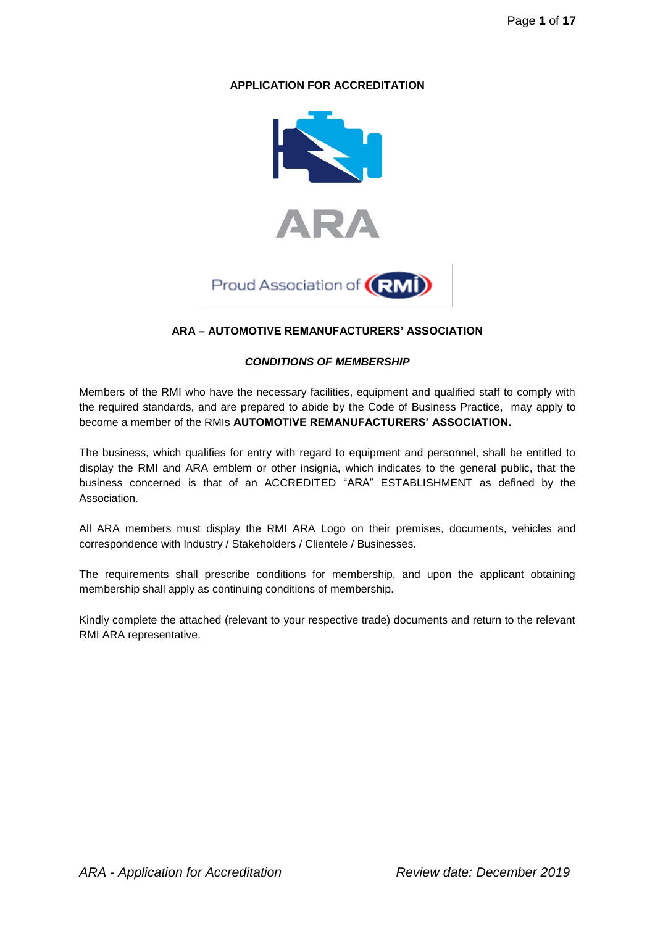# **APPLICATION FOR ACCREDITATION**





# **ARA – AUTOMOTIVE REMANUFACTURERS' ASSOCIATION**

## *CONDITIONS OF MEMBERSHIP*

Members of the RMI who have the necessary facilities, equipment and qualified staff to comply with the required standards, and are prepared to abide by the Code of Business Practice, may apply to become a member of the RMIs **AUTOMOTIVE REMANUFACTURERS' ASSOCIATION.**

The business, which qualifies for entry with regard to equipment and personnel, shall be entitled to display the RMI and ARA emblem or other insignia, which indicates to the general public, that the business concerned is that of an ACCREDITED "ARA" ESTABLISHMENT as defined by the Association.

All ARA members must display the RMI ARA Logo on their premises, documents, vehicles and correspondence with Industry / Stakeholders / Clientele / Businesses.

The requirements shall prescribe conditions for membership, and upon the applicant obtaining membership shall apply as continuing conditions of membership.

Kindly complete the attached (relevant to your respective trade) documents and return to the relevant RMI ARA representative.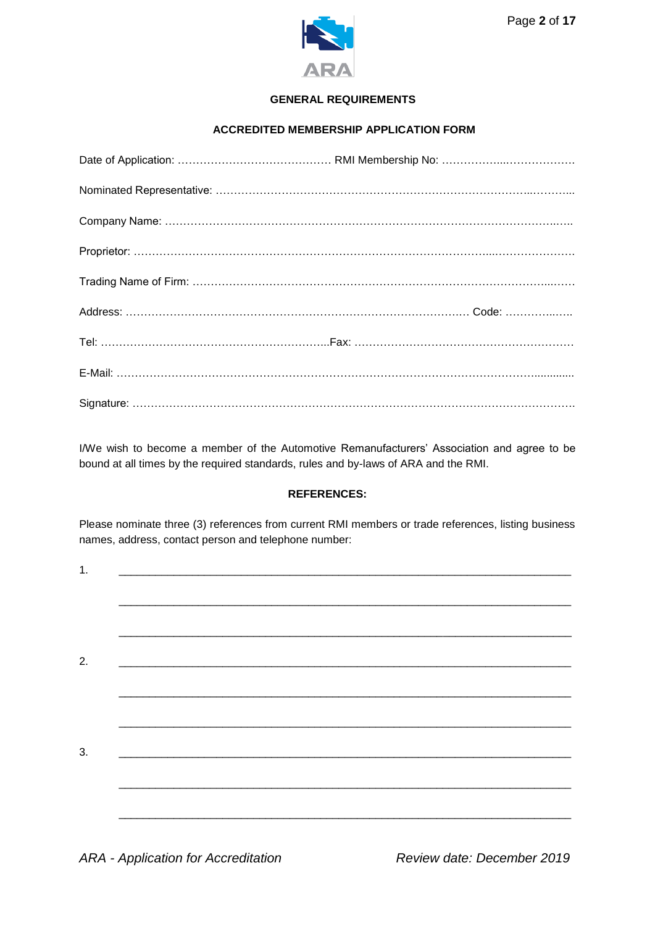

# **GENERAL REQUIREMENTS**

# **ACCREDITED MEMBERSHIP APPLICATION FORM**

I/We wish to become a member of the Automotive Remanufacturers' Association and agree to be bound at all times by the required standards, rules and by-laws of ARA and the RMI.

#### **REFERENCES:**

Please nominate three (3) references from current RMI members or trade references, listing business names, address, contact person and telephone number:

| 1. |  |  |  |
|----|--|--|--|
|    |  |  |  |
|    |  |  |  |
| 2. |  |  |  |
|    |  |  |  |
|    |  |  |  |
| 3. |  |  |  |
|    |  |  |  |
|    |  |  |  |
|    |  |  |  |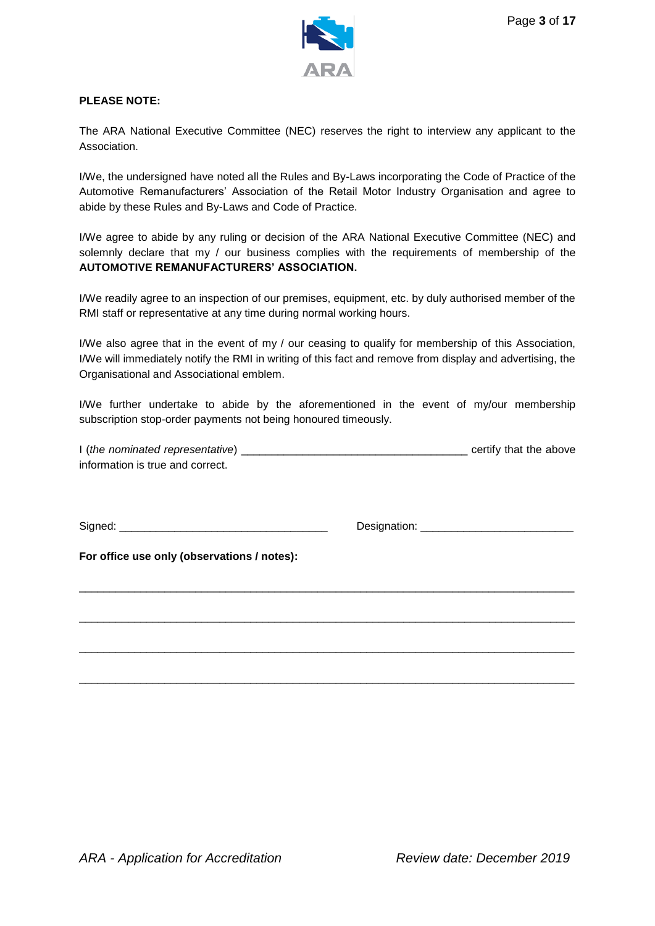

## **PLEASE NOTE:**

The ARA National Executive Committee (NEC) reserves the right to interview any applicant to the Association.

I/We, the undersigned have noted all the Rules and By-Laws incorporating the Code of Practice of the Automotive Remanufacturers' Association of the Retail Motor Industry Organisation and agree to abide by these Rules and By-Laws and Code of Practice.

I/We agree to abide by any ruling or decision of the ARA National Executive Committee (NEC) and solemnly declare that my / our business complies with the requirements of membership of the **AUTOMOTIVE REMANUFACTURERS' ASSOCIATION.**

I/We readily agree to an inspection of our premises, equipment, etc. by duly authorised member of the RMI staff or representative at any time during normal working hours.

I/We also agree that in the event of my / our ceasing to qualify for membership of this Association, I/We will immediately notify the RMI in writing of this fact and remove from display and advertising, the Organisational and Associational emblem.

I/We further undertake to abide by the aforementioned in the event of my/our membership subscription stop-order payments not being honoured timeously.

| I (the nominated representative) | certify that the above |
|----------------------------------|------------------------|
| information is true and correct. |                        |

\_\_\_\_\_\_\_\_\_\_\_\_\_\_\_\_\_\_\_\_\_\_\_\_\_\_\_\_\_\_\_\_\_\_\_\_\_\_\_\_\_\_\_\_\_\_\_\_\_\_\_\_\_\_\_\_\_\_\_\_\_\_\_\_\_\_\_\_\_\_\_\_\_\_\_\_\_\_\_\_\_

\_\_\_\_\_\_\_\_\_\_\_\_\_\_\_\_\_\_\_\_\_\_\_\_\_\_\_\_\_\_\_\_\_\_\_\_\_\_\_\_\_\_\_\_\_\_\_\_\_\_\_\_\_\_\_\_\_\_\_\_\_\_\_\_\_\_\_\_\_\_\_\_\_\_\_\_\_\_\_\_\_

\_\_\_\_\_\_\_\_\_\_\_\_\_\_\_\_\_\_\_\_\_\_\_\_\_\_\_\_\_\_\_\_\_\_\_\_\_\_\_\_\_\_\_\_\_\_\_\_\_\_\_\_\_\_\_\_\_\_\_\_\_\_\_\_\_\_\_\_\_\_\_\_\_\_\_\_\_\_\_\_\_

\_\_\_\_\_\_\_\_\_\_\_\_\_\_\_\_\_\_\_\_\_\_\_\_\_\_\_\_\_\_\_\_\_\_\_\_\_\_\_\_\_\_\_\_\_\_\_\_\_\_\_\_\_\_\_\_\_\_\_\_\_\_\_\_\_\_\_\_\_\_\_\_\_\_\_\_\_\_\_\_\_

Signed: \_\_\_\_\_\_\_\_\_\_\_\_\_\_\_\_\_\_\_\_\_\_\_\_\_\_\_\_\_\_\_\_\_\_ Designation: \_\_\_\_\_\_\_\_\_\_\_\_\_\_\_\_\_\_\_\_\_\_\_\_\_

**For office use only (observations / notes):**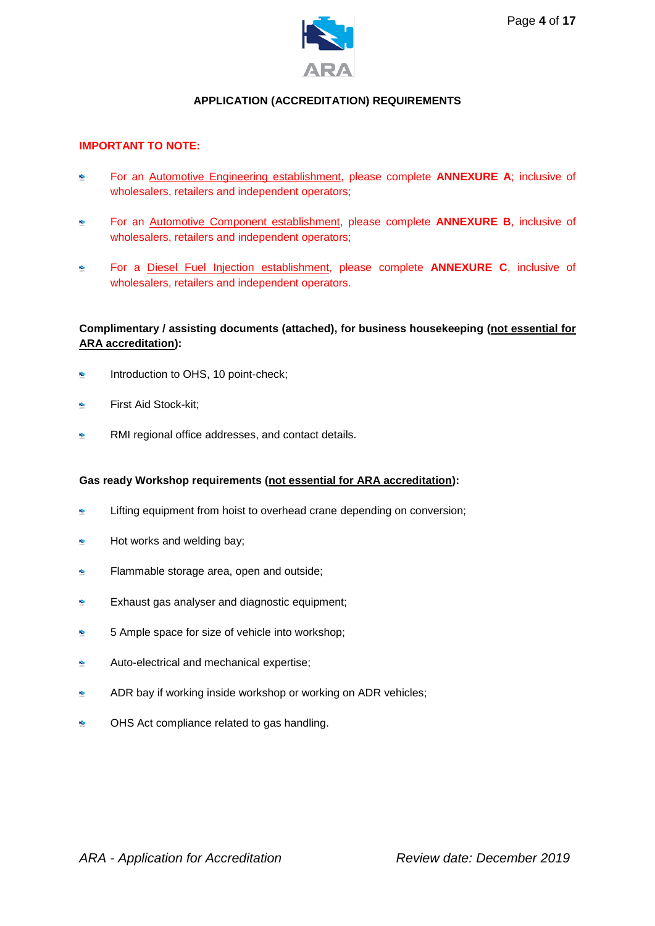

# **APPLICATION (ACCREDITATION) REQUIREMENTS**

#### **IMPORTANT TO NOTE:**

- $\hat{\mathbf{c}}$ For an Automotive Engineering establishment, please complete **ANNEXURE A**; inclusive of wholesalers, retailers and independent operators;
- For an Automotive Component establishment, please complete **ANNEXURE B**, inclusive of wholesalers, retailers and independent operators;
- For a Diesel Fuel Injection establishment, please complete **ANNEXURE C**, inclusive of  $\bullet$ wholesalers, retailers and independent operators.

## **Complimentary / assisting documents (attached), for business housekeeping (not essential for ARA accreditation):**

- Introduction to OHS, 10 point-check;  $\hat{\mathbf{x}}$
- First Aid Stock-kit;
- RMI regional office addresses, and contact details.

#### **Gas ready Workshop requirements (not essential for ARA accreditation):**

- Lifting equipment from hoist to overhead crane depending on conversion; Ń.
- Hot works and welding bay;  $\bullet$
- Flammable storage area, open and outside;  $\hat{\mathbf{x}}$
- Ġ Exhaust gas analyser and diagnostic equipment;
- 5 Ample space for size of vehicle into workshop;  $\ddot{\textbf{x}}$
- Auto-electrical and mechanical expertise; ×,
- ADR bay if working inside workshop or working on ADR vehicles;  $\mathbf{r}$
- k. OHS Act compliance related to gas handling.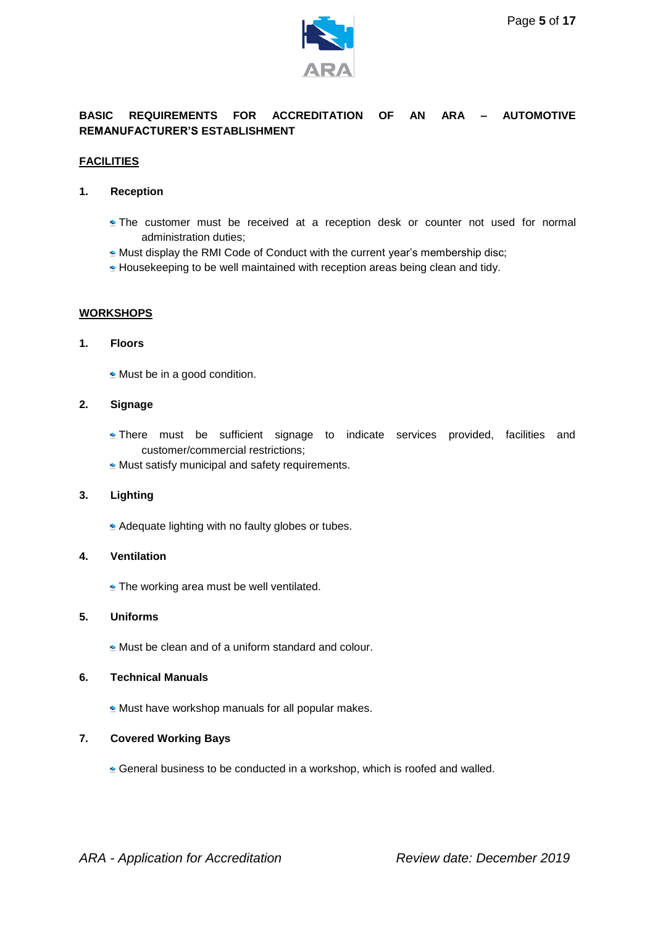

# **BASIC REQUIREMENTS FOR ACCREDITATION OF AN ARA – AUTOMOTIVE REMANUFACTURER'S ESTABLISHMENT**

### **FACILITIES**

### **1. Reception**

- **The customer must be received at a reception desk or counter not used for normal** administration duties;
- **Must display the RMI Code of Conduct with the current year's membership disc;**
- Housekeeping to be well maintained with reception areas being clean and tidy.

## **WORKSHOPS**

## **1. Floors**

**Must be in a good condition.** 

#### **2. Signage**

- **There must be sufficient signage to indicate services provided, facilities and** customer/commercial restrictions;
- **Must satisfy municipal and safety requirements.**

#### **3. Lighting**

Adequate lighting with no faulty globes or tubes.

#### **4. Ventilation**

**The working area must be well ventilated.** 

### **5. Uniforms**

**Must be clean and of a uniform standard and colour.** 

#### **6. Technical Manuals**

 $\approx$  Must have workshop manuals for all popular makes.

#### **7. Covered Working Bays**

General business to be conducted in a workshop, which is roofed and walled.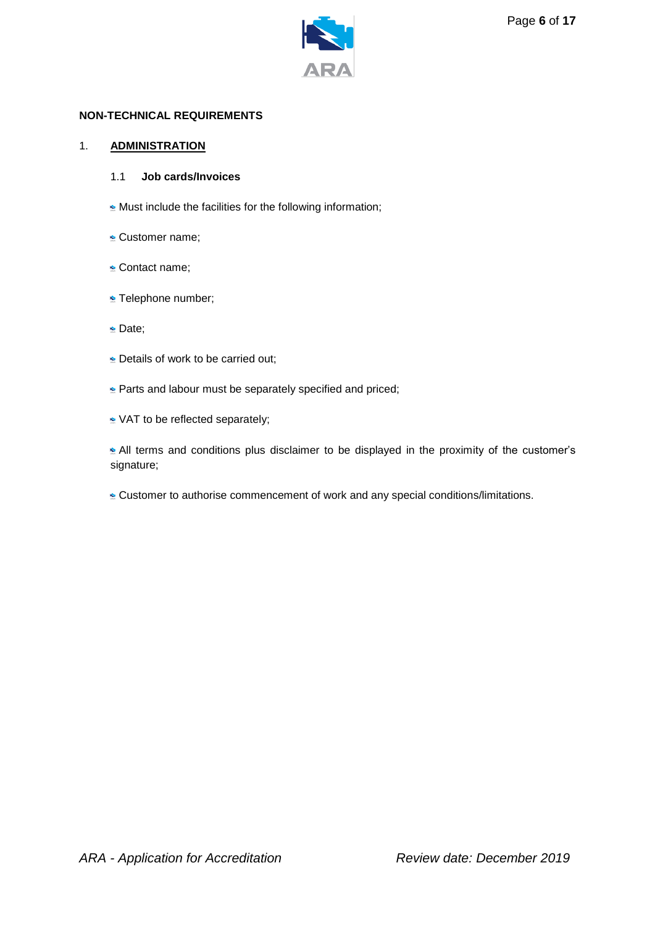

### **NON-TECHNICAL REQUIREMENTS**

### 1. **ADMINISTRATION**

### 1.1 **Job cards/Invoices**

- **Must include the facilities for the following information;**
- **Customer name;**
- **Contact name;**
- **Telephone number;**
- Date;
- **Details of work to be carried out;**
- **Parts and labour must be separately specified and priced;**
- NAT to be reflected separately;

All terms and conditions plus disclaimer to be displayed in the proximity of the customer's signature;

Customer to authorise commencement of work and any special conditions/limitations.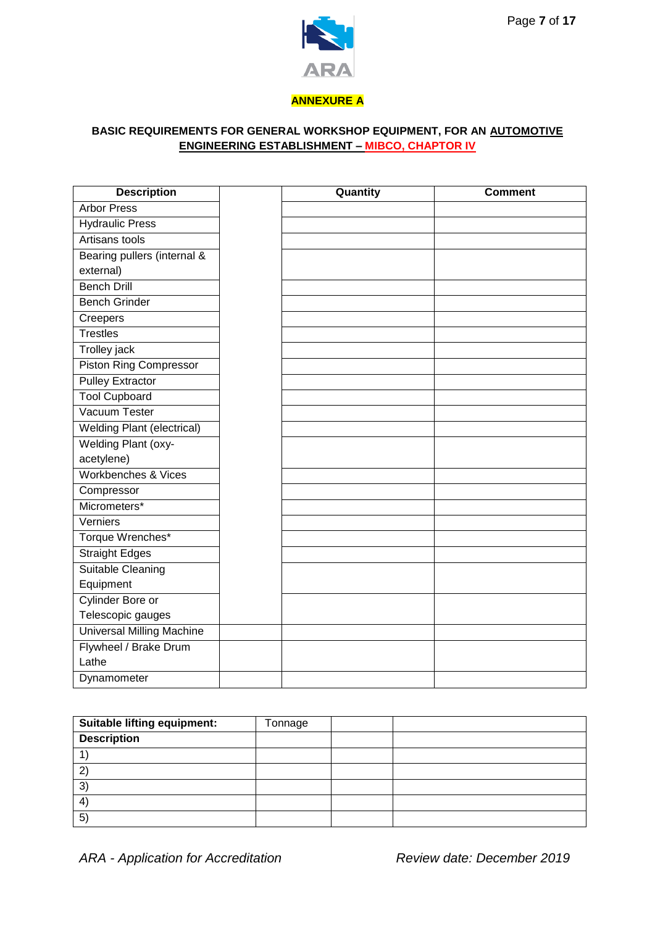

## **ANNEXURE A**

# **BASIC REQUIREMENTS FOR GENERAL WORKSHOP EQUIPMENT, FOR AN AUTOMOTIVE ENGINEERING ESTABLISHMENT – MIBCO, CHAPTOR IV**

| <b>Description</b>                | Quantity | <b>Comment</b> |
|-----------------------------------|----------|----------------|
| <b>Arbor Press</b>                |          |                |
| <b>Hydraulic Press</b>            |          |                |
| Artisans tools                    |          |                |
| Bearing pullers (internal &       |          |                |
| external)                         |          |                |
| <b>Bench Drill</b>                |          |                |
| <b>Bench Grinder</b>              |          |                |
| Creepers                          |          |                |
| <b>Trestles</b>                   |          |                |
| Trolley jack                      |          |                |
| <b>Piston Ring Compressor</b>     |          |                |
| <b>Pulley Extractor</b>           |          |                |
| <b>Tool Cupboard</b>              |          |                |
| Vacuum Tester                     |          |                |
| <b>Welding Plant (electrical)</b> |          |                |
| <b>Welding Plant (oxy-</b>        |          |                |
| acetylene)                        |          |                |
| <b>Workbenches &amp; Vices</b>    |          |                |
| Compressor                        |          |                |
| Micrometers*                      |          |                |
| Verniers                          |          |                |
| Torque Wrenches*                  |          |                |
| <b>Straight Edges</b>             |          |                |
| <b>Suitable Cleaning</b>          |          |                |
| Equipment                         |          |                |
| Cylinder Bore or                  |          |                |
| Telescopic gauges                 |          |                |
| <b>Universal Milling Machine</b>  |          |                |
| Flywheel / Brake Drum             |          |                |
| Lathe                             |          |                |
| Dynamometer                       |          |                |

| Suitable lifting equipment: | Tonnage |  |
|-----------------------------|---------|--|
| <b>Description</b>          |         |  |
|                             |         |  |
| າ                           |         |  |
| 3)                          |         |  |
| 4                           |         |  |
| 5 <sup>2</sup>              |         |  |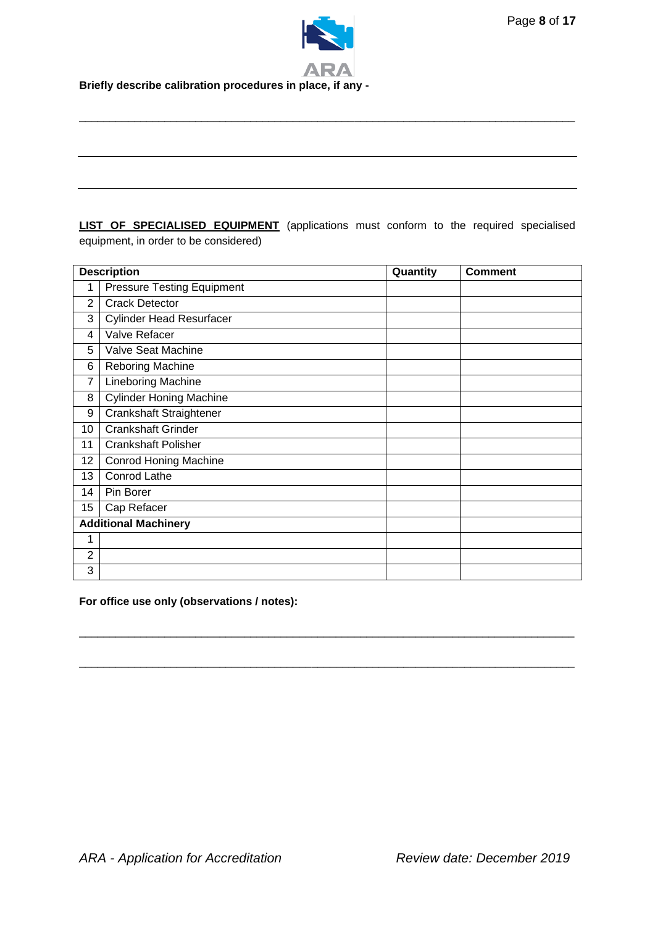

# **LIST OF SPECIALISED EQUIPMENT** (applications must conform to the required specialised equipment, in order to be considered)

\_\_\_\_\_\_\_\_\_\_\_\_\_\_\_\_\_\_\_\_\_\_\_\_\_\_\_\_\_\_\_\_\_\_\_\_\_\_\_\_\_\_\_\_\_\_\_\_\_\_\_\_\_\_\_\_\_\_\_\_\_\_\_\_\_\_\_\_\_\_\_\_\_\_\_\_\_\_\_\_\_

|                | <b>Description</b>                | Quantity | <b>Comment</b> |
|----------------|-----------------------------------|----------|----------------|
| 1              | <b>Pressure Testing Equipment</b> |          |                |
| 2              | <b>Crack Detector</b>             |          |                |
| 3              | <b>Cylinder Head Resurfacer</b>   |          |                |
| 4              | Valve Refacer                     |          |                |
| 5              | Valve Seat Machine                |          |                |
| 6              | Reboring Machine                  |          |                |
| 7              | Lineboring Machine                |          |                |
| 8              | <b>Cylinder Honing Machine</b>    |          |                |
| 9              | Crankshaft Straightener           |          |                |
| 10             | <b>Crankshaft Grinder</b>         |          |                |
| 11             | <b>Crankshaft Polisher</b>        |          |                |
| 12             | <b>Conrod Honing Machine</b>      |          |                |
| 13             | Conrod Lathe                      |          |                |
| 14             | Pin Borer                         |          |                |
| 15             | Cap Refacer                       |          |                |
|                | <b>Additional Machinery</b>       |          |                |
| 1              |                                   |          |                |
| $\overline{2}$ |                                   |          |                |
| 3              |                                   |          |                |

\_\_\_\_\_\_\_\_\_\_\_\_\_\_\_\_\_\_\_\_\_\_\_\_\_\_\_\_\_\_\_\_\_\_\_\_\_\_\_\_\_\_\_\_\_\_\_\_\_\_\_\_\_\_\_\_\_\_\_\_\_\_\_\_\_\_\_\_\_\_\_\_\_\_\_\_\_\_\_\_\_

\_\_\_\_\_\_\_\_\_\_\_\_\_\_\_\_\_\_\_\_\_\_\_\_\_\_\_\_\_\_\_\_\_\_\_\_\_\_\_\_\_\_\_\_\_\_\_\_\_\_\_\_\_\_\_\_\_\_\_\_\_\_\_\_\_\_\_\_\_\_\_\_\_\_\_\_\_\_\_\_\_

**For office use only (observations / notes):**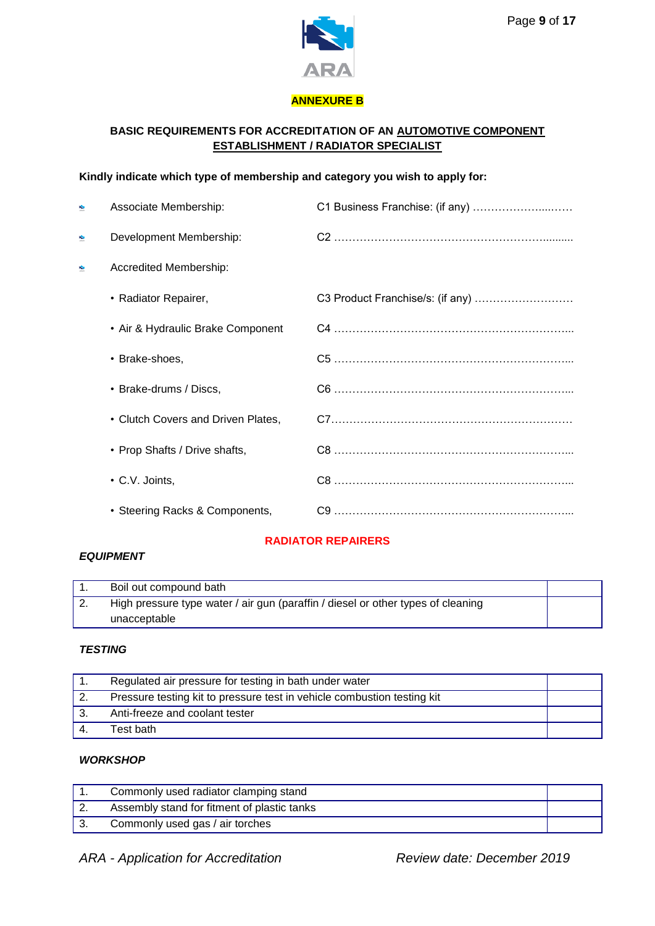

## **ANNEXURE B**

# **BASIC REQUIREMENTS FOR ACCREDITATION OF AN AUTOMOTIVE COMPONENT ESTABLISHMENT / RADIATOR SPECIALIST**

# **Kindly indicate which type of membership and category you wish to apply for:**

| <b>S</b>      | Associate Membership:              | C1 Business Franchise: (if any) |
|---------------|------------------------------------|---------------------------------|
| $\frac{1}{2}$ | Development Membership:            |                                 |
| ÷             | Accredited Membership:             |                                 |
|               | • Radiator Repairer,               |                                 |
|               | • Air & Hydraulic Brake Component  |                                 |
|               | • Brake-shoes,                     |                                 |
|               | • Brake-drums / Discs,             |                                 |
|               | • Clutch Covers and Driven Plates, |                                 |
|               | • Prop Shafts / Drive shafts,      |                                 |
|               | • C.V. Joints,                     |                                 |
|               | • Steering Racks & Components,     |                                 |

# **RADIATOR REPAIRERS**

### *EQUIPMENT*

|          | Boil out compound bath                                                           |  |
|----------|----------------------------------------------------------------------------------|--|
| <u>.</u> | High pressure type water / air gun (paraffin / diesel or other types of cleaning |  |
|          | unacceptable                                                                     |  |

## *TESTING*

|     | Regulated air pressure for testing in bath under water                  |  |
|-----|-------------------------------------------------------------------------|--|
| -2. | Pressure testing kit to pressure test in vehicle combustion testing kit |  |
|     | Anti-freeze and coolant tester                                          |  |
|     | Test bath                                                               |  |

# *WORKSHOP*

| Commonly used radiator clamping stand       |  |
|---------------------------------------------|--|
| Assembly stand for fitment of plastic tanks |  |
| Commonly used gas / air torches             |  |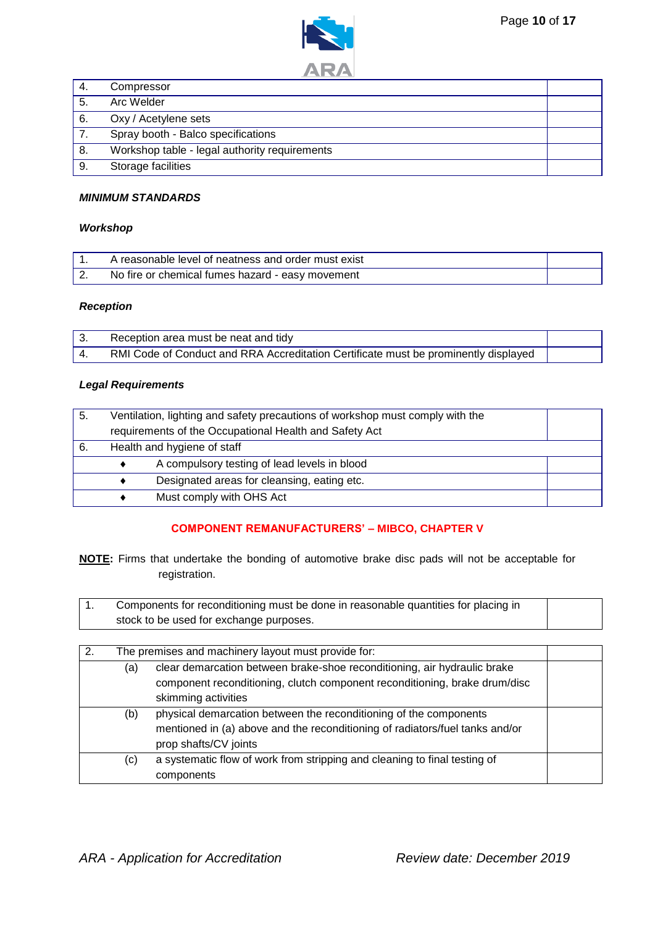



| -4. | Compressor                                    |  |
|-----|-----------------------------------------------|--|
| 5.  | Arc Welder                                    |  |
| 6.  | Oxy / Acetylene sets                          |  |
|     | Spray booth - Balco specifications            |  |
| 8.  | Workshop table - legal authority requirements |  |
| 9.  | Storage facilities                            |  |

# *MINIMUM STANDARDS*

#### *Workshop*

| A reasonable level of neatness and order must exist |  |
|-----------------------------------------------------|--|
| No fire or chemical fumes hazard - easy movement    |  |

#### *Reception*

| Reception area must be neat and tidy                                                |  |
|-------------------------------------------------------------------------------------|--|
| RMI Code of Conduct and RRA Accreditation Certificate must be prominently displayed |  |

## *Legal Requirements*

| 5. | Ventilation, lighting and safety precautions of workshop must comply with the<br>requirements of the Occupational Health and Safety Act |                                              |  |
|----|-----------------------------------------------------------------------------------------------------------------------------------------|----------------------------------------------|--|
| 6. |                                                                                                                                         | Health and hygiene of staff                  |  |
|    |                                                                                                                                         | A compulsory testing of lead levels in blood |  |
|    |                                                                                                                                         | Designated areas for cleansing, eating etc.  |  |
|    |                                                                                                                                         | Must comply with OHS Act                     |  |

# **COMPONENT REMANUFACTURERS' – MIBCO, CHAPTER V**

**NOTE:** Firms that undertake the bonding of automotive brake disc pads will not be acceptable for registration.

| Components for reconditioning must be done in reasonable quantities for placing in |  |
|------------------------------------------------------------------------------------|--|
| stock to be used for exchange purposes.                                            |  |

| 2. |     | The premises and machinery layout must provide for:                                                                                                                           |  |
|----|-----|-------------------------------------------------------------------------------------------------------------------------------------------------------------------------------|--|
|    | (a) | clear demarcation between brake-shoe reconditioning, air hydraulic brake<br>component reconditioning, clutch component reconditioning, brake drum/disc<br>skimming activities |  |
|    | (b) | physical demarcation between the reconditioning of the components<br>mentioned in (a) above and the reconditioning of radiators/fuel tanks and/or<br>prop shafts/CV joints    |  |
|    | (c) | a systematic flow of work from stripping and cleaning to final testing of<br>components                                                                                       |  |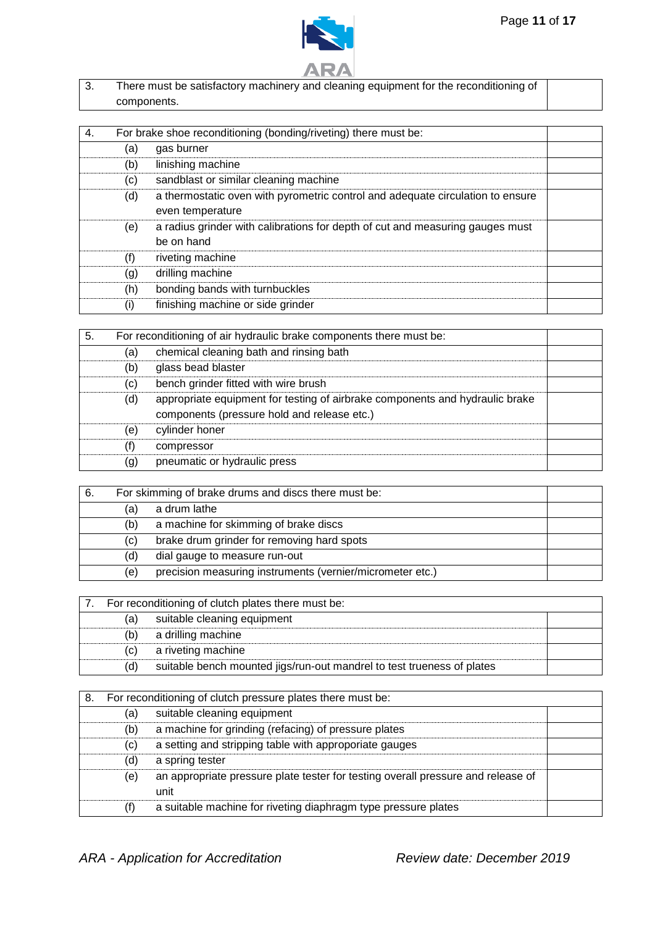



3. There must be satisfactory machinery and cleaning equipment for the reconditioning of components.

| 4. |     | For brake shoe reconditioning (bonding/riveting) there must be:                |  |
|----|-----|--------------------------------------------------------------------------------|--|
|    | (a) | gas burner                                                                     |  |
|    | (b) | linishing machine                                                              |  |
|    | (c) | sandblast or similar cleaning machine                                          |  |
|    | (d) | a thermostatic oven with pyrometric control and adequate circulation to ensure |  |
|    |     | even temperature                                                               |  |
|    | (e) | a radius grinder with calibrations for depth of cut and measuring gauges must  |  |
|    |     | be on hand                                                                     |  |
|    | (f) | riveting machine                                                               |  |
|    | (g) | drilling machine                                                               |  |
|    | (h) | bonding bands with turnbuckles                                                 |  |
|    | (i) | finishing machine or side grinder                                              |  |

| 5. |     | For reconditioning of air hydraulic brake components there must be:          |  |
|----|-----|------------------------------------------------------------------------------|--|
|    | (a) | chemical cleaning bath and rinsing bath                                      |  |
|    | (b) | glass bead blaster                                                           |  |
|    | (c) | bench grinder fitted with wire brush                                         |  |
|    | (d) | appropriate equipment for testing of airbrake components and hydraulic brake |  |
|    |     | components (pressure hold and release etc.)                                  |  |
|    | (e) | cylinder honer                                                               |  |
|    | (f) | compressor                                                                   |  |
|    | (g) | pneumatic or hydraulic press                                                 |  |

| 6. |     | For skimming of brake drums and discs there must be:      |  |
|----|-----|-----------------------------------------------------------|--|
|    | (a) | a drum lathe                                              |  |
|    | (b) | a machine for skimming of brake discs                     |  |
|    | (C) | brake drum grinder for removing hard spots                |  |
|    | (d) | dial gauge to measure run-out                             |  |
|    | (e) | precision measuring instruments (vernier/micrometer etc.) |  |

|     | 7. For reconditioning of clutch plates there must be:                  |  |
|-----|------------------------------------------------------------------------|--|
| (a) | suitable cleaning equipment                                            |  |
| (b) | a drilling machine                                                     |  |
| (C) | a riveting machine                                                     |  |
| (d) | suitable bench mounted jigs/run-out mandrel to test trueness of plates |  |

| 8. |     | For reconditioning of clutch pressure plates there must be:                              |  |
|----|-----|------------------------------------------------------------------------------------------|--|
|    | (a) | suitable cleaning equipment                                                              |  |
|    | (b) | a machine for grinding (refacing) of pressure plates                                     |  |
|    | (c) | a setting and stripping table with approporiate gauges                                   |  |
|    | (d) | a spring tester                                                                          |  |
|    | (e) | an appropriate pressure plate tester for testing overall pressure and release of<br>unit |  |
|    |     | a suitable machine for riveting diaphragm type pressure plates                           |  |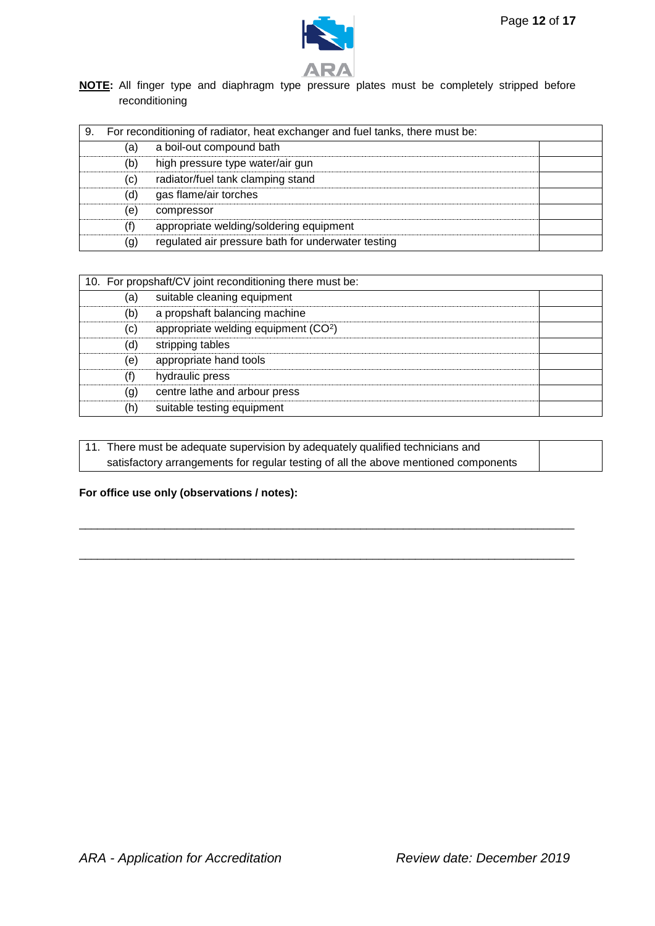



**NOTE:** All finger type and diaphragm type pressure plates must be completely stripped before reconditioning

| 9. |     | For reconditioning of radiator, heat exchanger and fuel tanks, there must be: |  |
|----|-----|-------------------------------------------------------------------------------|--|
|    | (a) | a boil-out compound bath                                                      |  |
|    | (b) | high pressure type water/air gun                                              |  |
|    | (c) | radiator/fuel tank clamping stand                                             |  |
|    | (d) | gas flame/air torches                                                         |  |
|    | (e) | compressor                                                                    |  |
|    | (f) | appropriate welding/soldering equipment                                       |  |
|    | (g) | regulated air pressure bath for underwater testing                            |  |

| 10. For propshaft/CV joint reconditioning there must be: |                                                  |  |
|----------------------------------------------------------|--------------------------------------------------|--|
| (a)                                                      | suitable cleaning equipment                      |  |
| (b)                                                      | a propshaft balancing machine                    |  |
| (c)                                                      | appropriate welding equipment (CO <sup>2</sup> ) |  |
| (d)                                                      | stripping tables                                 |  |
| (e)                                                      | appropriate hand tools                           |  |
| (f)                                                      | hydraulic press                                  |  |
| (g)                                                      | centre lathe and arbour press                    |  |
| (h)                                                      | suitable testing equipment                       |  |

| 11. There must be adequate supervision by adequately qualified technicians and      |  |
|-------------------------------------------------------------------------------------|--|
| satisfactory arrangements for regular testing of all the above mentioned components |  |

\_\_\_\_\_\_\_\_\_\_\_\_\_\_\_\_\_\_\_\_\_\_\_\_\_\_\_\_\_\_\_\_\_\_\_\_\_\_\_\_\_\_\_\_\_\_\_\_\_\_\_\_\_\_\_\_\_\_\_\_\_\_\_\_\_\_\_\_\_\_\_\_\_\_\_\_\_\_\_\_\_

\_\_\_\_\_\_\_\_\_\_\_\_\_\_\_\_\_\_\_\_\_\_\_\_\_\_\_\_\_\_\_\_\_\_\_\_\_\_\_\_\_\_\_\_\_\_\_\_\_\_\_\_\_\_\_\_\_\_\_\_\_\_\_\_\_\_\_\_\_\_\_\_\_\_\_\_\_\_\_\_\_

# **For office use only (observations / notes):**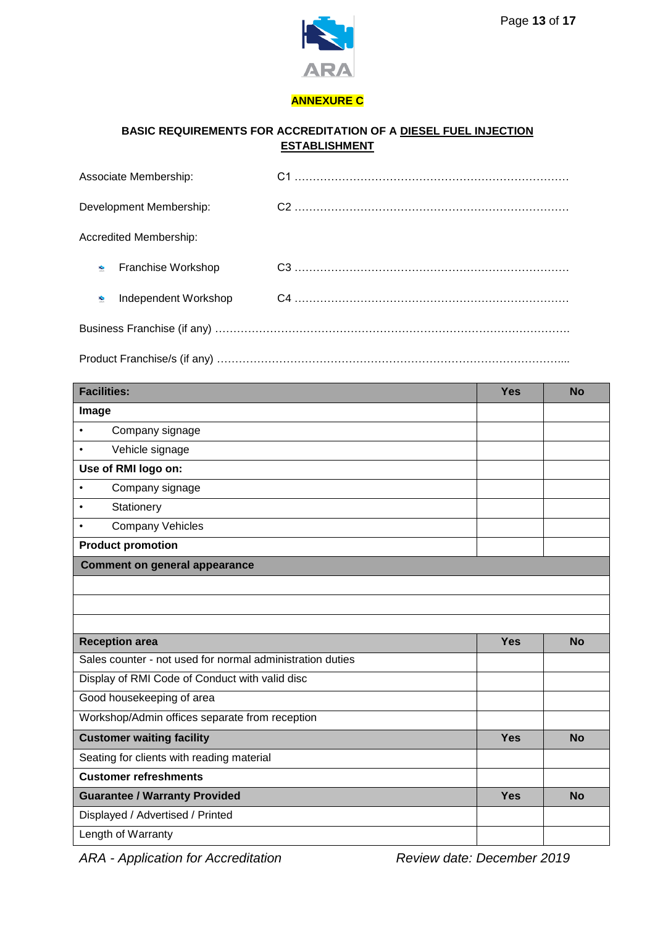

# **ANNEXURE C**

# **BASIC REQUIREMENTS FOR ACCREDITATION OF A DIESEL FUEL INJECTION ESTABLISHMENT**

| Associate Membership:         |  |
|-------------------------------|--|
| Development Membership:       |  |
| <b>Accredited Membership:</b> |  |
| Franchise Workshop<br>÷       |  |
| Independent Workshop<br>÷     |  |
|                               |  |

Product Franchise/s (if any) …………………………………………………………………………………....

| <b>Facilities:</b>                                        | <b>Yes</b> | <b>No</b> |
|-----------------------------------------------------------|------------|-----------|
| Image                                                     |            |           |
| Company signage<br>$\bullet$                              |            |           |
| Vehicle signage<br>$\bullet$                              |            |           |
| Use of RMI logo on:                                       |            |           |
| Company signage<br>$\bullet$                              |            |           |
| Stationery<br>$\bullet$                                   |            |           |
| <b>Company Vehicles</b><br>$\bullet$                      |            |           |
| <b>Product promotion</b>                                  |            |           |
| <b>Comment on general appearance</b>                      |            |           |
|                                                           |            |           |
|                                                           |            |           |
|                                                           |            |           |
| <b>Reception area</b>                                     | <b>Yes</b> | <b>No</b> |
| Sales counter - not used for normal administration duties |            |           |
| Display of RMI Code of Conduct with valid disc            |            |           |
| Good housekeeping of area                                 |            |           |
| Workshop/Admin offices separate from reception            |            |           |
| <b>Customer waiting facility</b>                          | <b>Yes</b> | <b>No</b> |
| Seating for clients with reading material                 |            |           |
| <b>Customer refreshments</b>                              |            |           |
| <b>Guarantee / Warranty Provided</b>                      | <b>Yes</b> | <b>No</b> |
| Displayed / Advertised / Printed                          |            |           |
| Length of Warranty                                        |            |           |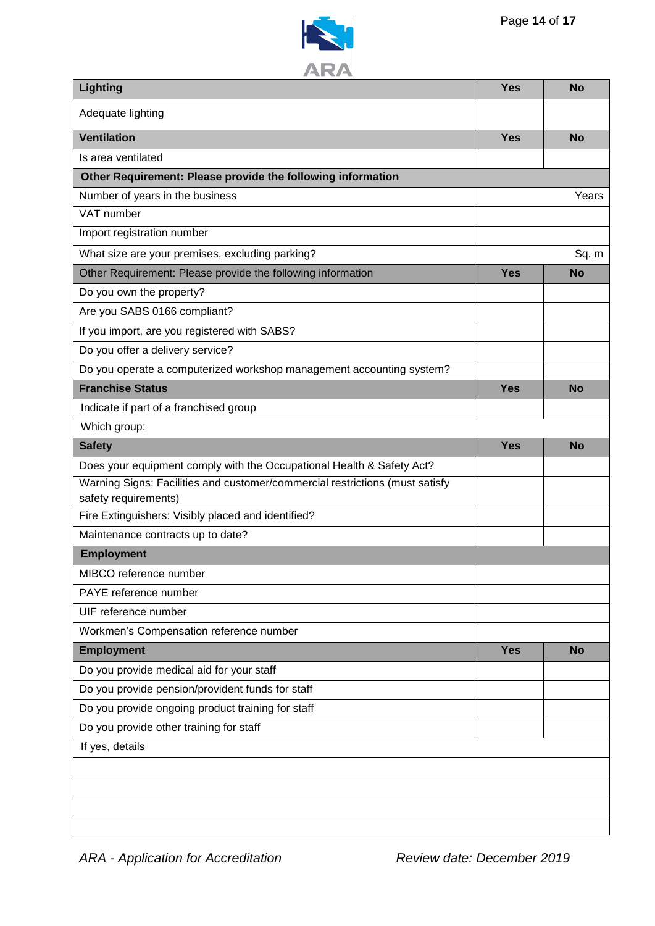

| 77 I V.A<br>Lighting                                                                    | <b>Yes</b> | <b>No</b> |
|-----------------------------------------------------------------------------------------|------------|-----------|
| Adequate lighting                                                                       |            |           |
| <b>Ventilation</b>                                                                      | <b>Yes</b> | <b>No</b> |
| Is area ventilated                                                                      |            |           |
| Other Requirement: Please provide the following information                             |            |           |
| Number of years in the business                                                         |            | Years     |
| VAT number                                                                              |            |           |
| Import registration number                                                              |            |           |
| What size are your premises, excluding parking?                                         |            | Sq. m     |
| Other Requirement: Please provide the following information                             | <b>Yes</b> | <b>No</b> |
| Do you own the property?                                                                |            |           |
| Are you SABS 0166 compliant?                                                            |            |           |
| If you import, are you registered with SABS?                                            |            |           |
| Do you offer a delivery service?                                                        |            |           |
| Do you operate a computerized workshop management accounting system?                    |            |           |
| <b>Franchise Status</b>                                                                 | <b>Yes</b> | <b>No</b> |
| Indicate if part of a franchised group                                                  |            |           |
| Which group:                                                                            |            |           |
| <b>Safety</b>                                                                           | <b>Yes</b> | <b>No</b> |
| Does your equipment comply with the Occupational Health & Safety Act?                   |            |           |
| Warning Signs: Facilities and customer/commercial restrictions (must satisfy            |            |           |
| safety requirements)                                                                    |            |           |
| Fire Extinguishers: Visibly placed and identified?<br>Maintenance contracts up to date? |            |           |
| <b>Employment</b>                                                                       |            |           |
| MIBCO reference number                                                                  |            |           |
| PAYE reference number                                                                   |            |           |
| UIF reference number                                                                    |            |           |
| Workmen's Compensation reference number                                                 |            |           |
| <b>Employment</b>                                                                       | <b>Yes</b> | <b>No</b> |
| Do you provide medical aid for your staff                                               |            |           |
| Do you provide pension/provident funds for staff                                        |            |           |
| Do you provide ongoing product training for staff                                       |            |           |
| Do you provide other training for staff                                                 |            |           |
| If yes, details                                                                         |            |           |
|                                                                                         |            |           |
|                                                                                         |            |           |
|                                                                                         |            |           |
|                                                                                         |            |           |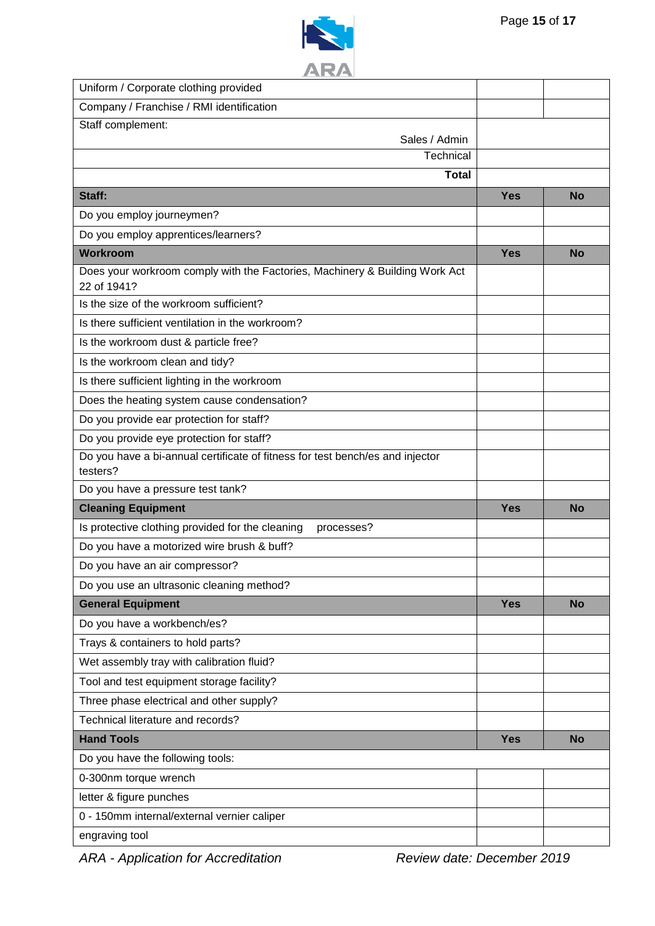

| Uniform / Corporate clothing provided                                                      |            |           |
|--------------------------------------------------------------------------------------------|------------|-----------|
| Company / Franchise / RMI identification                                                   |            |           |
| Staff complement:                                                                          |            |           |
| Sales / Admin<br>Technical                                                                 |            |           |
| <b>Total</b>                                                                               |            |           |
|                                                                                            |            |           |
| Staff:                                                                                     | <b>Yes</b> | <b>No</b> |
| Do you employ journeymen?                                                                  |            |           |
| Do you employ apprentices/learners?                                                        |            |           |
| Workroom                                                                                   | <b>Yes</b> | <b>No</b> |
| Does your workroom comply with the Factories, Machinery & Building Work Act<br>22 of 1941? |            |           |
| Is the size of the workroom sufficient?                                                    |            |           |
| Is there sufficient ventilation in the workroom?                                           |            |           |
| Is the workroom dust & particle free?                                                      |            |           |
| Is the workroom clean and tidy?                                                            |            |           |
| Is there sufficient lighting in the workroom                                               |            |           |
| Does the heating system cause condensation?                                                |            |           |
| Do you provide ear protection for staff?                                                   |            |           |
| Do you provide eye protection for staff?                                                   |            |           |
| Do you have a bi-annual certificate of fitness for test bench/es and injector<br>testers?  |            |           |
| Do you have a pressure test tank?                                                          |            |           |
| <b>Cleaning Equipment</b>                                                                  | <b>Yes</b> | <b>No</b> |
| Is protective clothing provided for the cleaning<br>processes?                             |            |           |
| Do you have a motorized wire brush & buff?                                                 |            |           |
| Do you have an air compressor?                                                             |            |           |
| Do you use an ultrasonic cleaning method?                                                  |            |           |
| <b>General Equipment</b>                                                                   | <b>Yes</b> | <b>No</b> |
| Do you have a workbench/es?                                                                |            |           |
| Trays & containers to hold parts?                                                          |            |           |
| Wet assembly tray with calibration fluid?                                                  |            |           |
| Tool and test equipment storage facility?                                                  |            |           |
| Three phase electrical and other supply?                                                   |            |           |
| Technical literature and records?                                                          |            |           |
| <b>Hand Tools</b>                                                                          | <b>Yes</b> | <b>No</b> |
| Do you have the following tools:                                                           |            |           |
| 0-300nm torque wrench                                                                      |            |           |
| letter & figure punches                                                                    |            |           |
| 0 - 150mm internal/external vernier caliper                                                |            |           |
| engraving tool                                                                             |            |           |
|                                                                                            |            |           |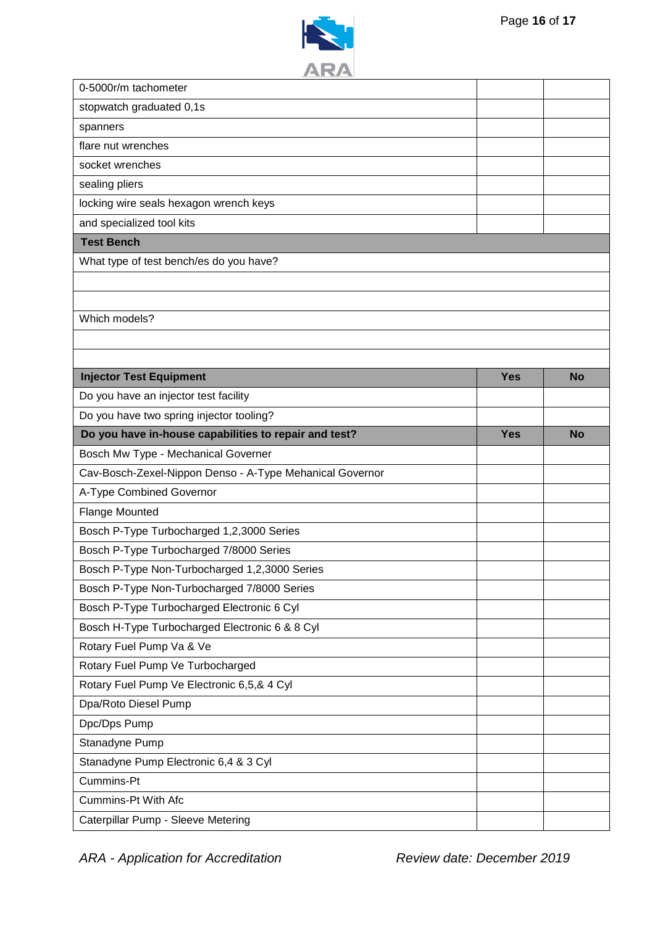



| 0-5000r/m tachometer                                     |            |           |
|----------------------------------------------------------|------------|-----------|
| stopwatch graduated 0,1s                                 |            |           |
| spanners                                                 |            |           |
| flare nut wrenches                                       |            |           |
| socket wrenches                                          |            |           |
| sealing pliers                                           |            |           |
| locking wire seals hexagon wrench keys                   |            |           |
| and specialized tool kits                                |            |           |
| <b>Test Bench</b>                                        |            |           |
| What type of test bench/es do you have?                  |            |           |
|                                                          |            |           |
|                                                          |            |           |
| Which models?                                            |            |           |
|                                                          |            |           |
|                                                          |            |           |
| <b>Injector Test Equipment</b>                           | <b>Yes</b> | <b>No</b> |
| Do you have an injector test facility                    |            |           |
| Do you have two spring injector tooling?                 |            |           |
| Do you have in-house capabilities to repair and test?    | <b>Yes</b> | <b>No</b> |
|                                                          |            |           |
| Bosch Mw Type - Mechanical Governer                      |            |           |
| Cav-Bosch-Zexel-Nippon Denso - A-Type Mehanical Governor |            |           |
| A-Type Combined Governor                                 |            |           |
| <b>Flange Mounted</b>                                    |            |           |
| Bosch P-Type Turbocharged 1,2,3000 Series                |            |           |
| Bosch P-Type Turbocharged 7/8000 Series                  |            |           |
| Bosch P-Type Non-Turbocharged 1,2,3000 Series            |            |           |
| Bosch P-Type Non-Turbocharged 7/8000 Series              |            |           |
| Bosch P-Type Turbocharged Electronic 6 Cyl               |            |           |
| Bosch H-Type Turbocharged Electronic 6 & 8 Cyl           |            |           |
| Rotary Fuel Pump Va & Ve                                 |            |           |
| Rotary Fuel Pump Ve Turbocharged                         |            |           |
| Rotary Fuel Pump Ve Electronic 6,5,& 4 Cyl               |            |           |
| Dpa/Roto Diesel Pump                                     |            |           |
| Dpc/Dps Pump                                             |            |           |
| Stanadyne Pump                                           |            |           |
| Stanadyne Pump Electronic 6,4 & 3 Cyl                    |            |           |
| Cummins-Pt                                               |            |           |
| Cummins-Pt With Afc                                      |            |           |